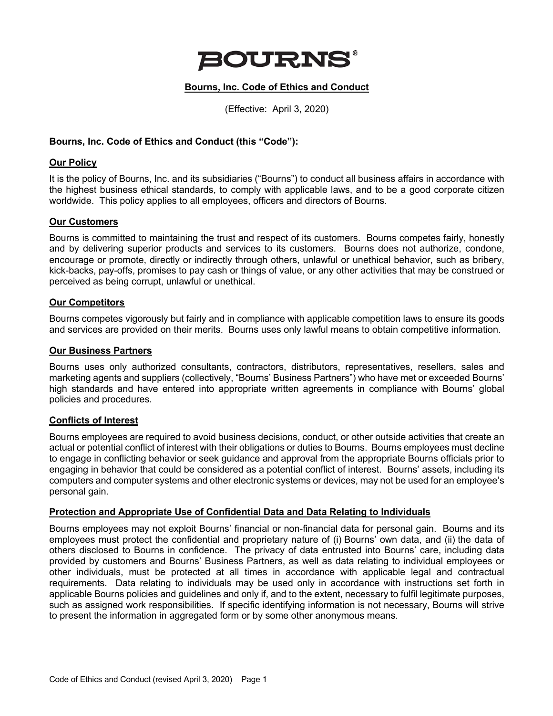

# **Bourns, Inc. Code of Ethics and Conduct**

(Effective: April 3, 2020)

## **Bourns, Inc. Code of Ethics and Conduct (this "Code"):**

### **Our Policy**

It is the policy of Bourns, Inc. and its subsidiaries ("Bourns") to conduct all business affairs in accordance with the highest business ethical standards, to comply with applicable laws, and to be a good corporate citizen worldwide. This policy applies to all employees, officers and directors of Bourns.

## **Our Customers**

Bourns is committed to maintaining the trust and respect of its customers. Bourns competes fairly, honestly and by delivering superior products and services to its customers. Bourns does not authorize, condone, encourage or promote, directly or indirectly through others, unlawful or unethical behavior, such as bribery, kick-backs, pay-offs, promises to pay cash or things of value, or any other activities that may be construed or perceived as being corrupt, unlawful or unethical.

## **Our Competitors**

Bourns competes vigorously but fairly and in compliance with applicable competition laws to ensure its goods and services are provided on their merits. Bourns uses only lawful means to obtain competitive information.

#### **Our Business Partners**

Bourns uses only authorized consultants, contractors, distributors, representatives, resellers, sales and marketing agents and suppliers (collectively, "Bourns' Business Partners") who have met or exceeded Bourns' high standards and have entered into appropriate written agreements in compliance with Bourns' global policies and procedures.

## **Conflicts of Interest**

Bourns employees are required to avoid business decisions, conduct, or other outside activities that create an actual or potential conflict of interest with their obligations or duties to Bourns. Bourns employees must decline to engage in conflicting behavior or seek guidance and approval from the appropriate Bourns officials prior to engaging in behavior that could be considered as a potential conflict of interest. Bourns' assets, including its computers and computer systems and other electronic systems or devices, may not be used for an employee's personal gain.

#### **Protection and Appropriate Use of Confidential Data and Data Relating to Individuals**

Bourns employees may not exploit Bourns' financial or non-financial data for personal gain. Bourns and its employees must protect the confidential and proprietary nature of (i) Bourns' own data, and (ii) the data of others disclosed to Bourns in confidence. The privacy of data entrusted into Bourns' care, including data provided by customers and Bourns' Business Partners, as well as data relating to individual employees or other individuals, must be protected at all times in accordance with applicable legal and contractual requirements. Data relating to individuals may be used only in accordance with instructions set forth in applicable Bourns policies and guidelines and only if, and to the extent, necessary to fulfil legitimate purposes, such as assigned work responsibilities. If specific identifying information is not necessary, Bourns will strive to present the information in aggregated form or by some other anonymous means.